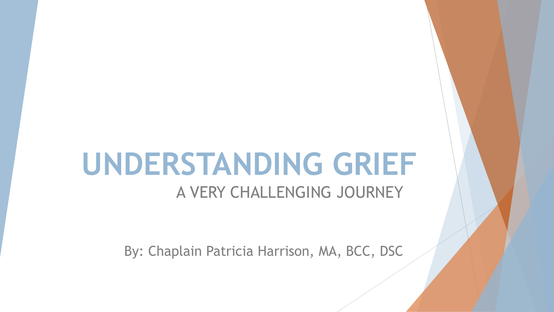# **UNDERSTANDING GRIEF** A VERY CHALLENGING JOURNEY

By: Chaplain Patricia Harrison, MA, BCC, DSC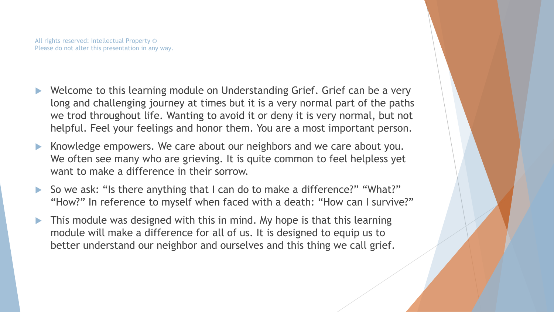All rights reserved: Intellectual Property © Please do not alter this presentation in any way.

- Welcome to this learning module on Understanding Grief. Grief can be a very long and challenging journey at times but it is a very normal part of the paths we trod throughout life. Wanting to avoid it or deny it is very normal, but not helpful. Feel your feelings and honor them. You are a most important person.
- Knowledge empowers. We care about our neighbors and we care about you. We often see many who are grieving. It is quite common to feel helpless yet want to make a difference in their sorrow.
- So we ask: "Is there anything that I can do to make a difference?" "What?" "How?" In reference to myself when faced with a death: "How can I survive?"
- **This module was designed with this in mind. My hope is that this learning** module will make a difference for all of us. It is designed to equip us to better understand our neighbor and ourselves and this thing we call grief.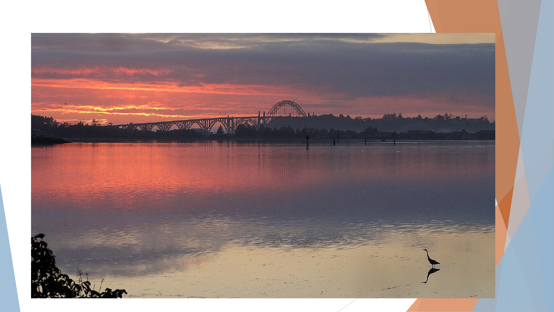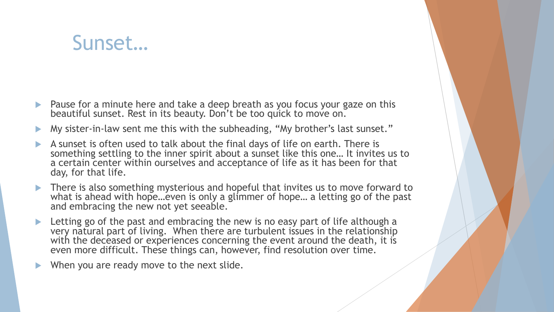### Sunset…

- **Pause for a minute here and take a deep breath as you focus your gaze on this** beautiful sunset. Rest in its beauty. Don't be too quick to move on.
- My sister-in-law sent me this with the subheading, "My brother's last sunset."
- A sunset is often used to talk about the final days of life on earth. There is something settling to the inner spirit about a sunset like this one… It invites us to a certain center within ourselves and acceptance of life as it has been for that day, for that life.
- There is also something mysterious and hopeful that invites us to move forward to what is ahead with hope...even is only a glimmer of hope... a letting go of the past and embracing the new not yet seeable.
- Letting go of the past and embracing the new is no easy part of life although a very natural part of living. When there are turbulent issues in the relationship with the deceased or experiences concerning the event around the death, it is even more difficult. These things can, however, find resolution over time.
- When you are ready move to the next slide.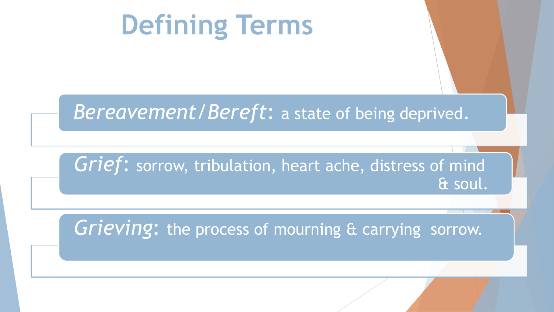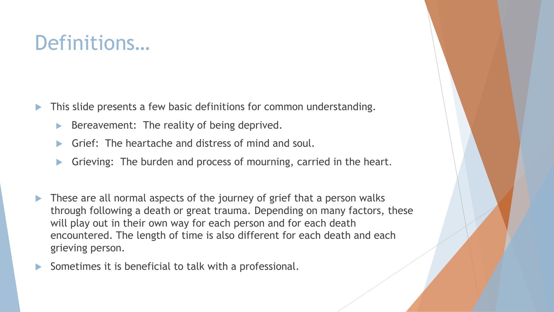## Definitions…

This slide presents a few basic definitions for common understanding.

- Bereavement: The reality of being deprived.
- Grief: The heartache and distress of mind and soul.
- Grieving: The burden and process of mourning, carried in the heart.
- These are all normal aspects of the journey of grief that a person walks through following a death or great trauma. Depending on many factors, these will play out in their own way for each person and for each death encountered. The length of time is also different for each death and each grieving person.
- Sometimes it is beneficial to talk with a professional.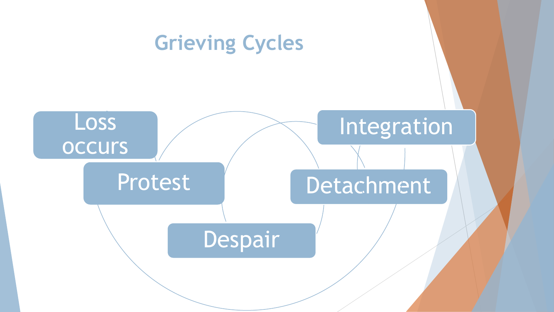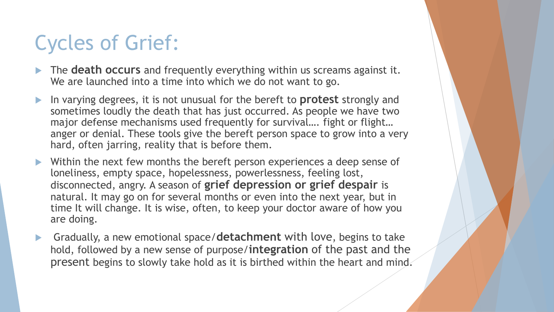# Cycles of Grief:

- The **death occurs** and frequently everything within us screams against it. We are launched into a time into which we do not want to go.
- In varying degrees, it is not unusual for the bereft to **protest** strongly and sometimes loudly the death that has just occurred. As people we have two major defense mechanisms used frequently for survival…. fight or flight… anger or denial. These tools give the bereft person space to grow into a very hard, often jarring, reality that is before them.
- Within the next few months the bereft person experiences a deep sense of loneliness, empty space, hopelessness, powerlessness, feeling lost, disconnected, angry. A season of **grief depression or grief despair** is natural. It may go on for several months or even into the next year, but in time It will change. It is wise, often, to keep your doctor aware of how you are doing.
- Gradually, a new emotional space/**detachment** with love, begins to take hold, followed by a new sense of purpose/**integration** of the past and the present begins to slowly take hold as it is birthed within the heart and mind.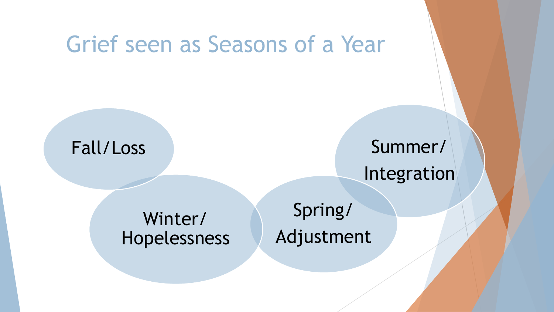### Grief seen as Seasons of a Year

#### Fall/Loss

Summer/ Integration

#### Winter/ Hopelessness

Spring/ Adjustment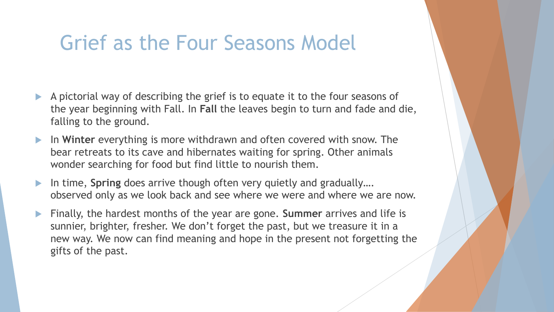## Grief as the Four Seasons Model

- A pictorial way of describing the grief is to equate it to the four seasons of the year beginning with Fall. In **Fall** the leaves begin to turn and fade and die, falling to the ground.
- In **Winter** everything is more withdrawn and often covered with snow. The bear retreats to its cave and hibernates waiting for spring. Other animals wonder searching for food but find little to nourish them.
- In time, **Spring** does arrive though often very quietly and gradually…. observed only as we look back and see where we were and where we are now.
- Finally, the hardest months of the year are gone. **Summer** arrives and life is sunnier, brighter, fresher. We don't forget the past, but we treasure it in a new way. We now can find meaning and hope in the present not forgetting the gifts of the past.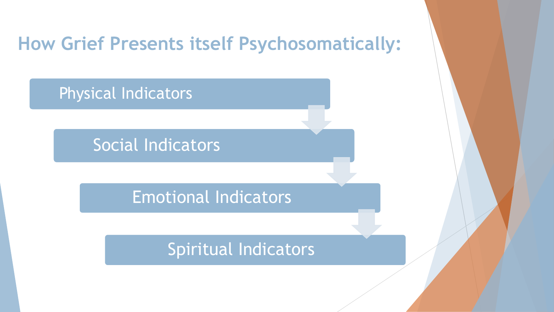### **How Grief Presents itself Psychosomatically:**



#### Emotional Indicators

#### Spiritual Indicators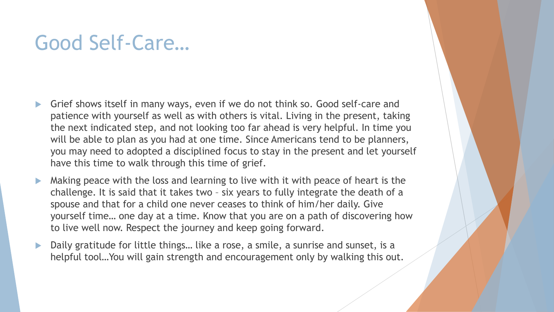### Good Self-Care…

- Grief shows itself in many ways, even if we do not think so. Good self-care and patience with yourself as well as with others is vital. Living in the present, taking the next indicated step, and not looking too far ahead is very helpful. In time you will be able to plan as you had at one time. Since Americans tend to be planners, you may need to adopted a disciplined focus to stay in the present and let yourself have this time to walk through this time of grief.
- Making peace with the loss and learning to live with it with peace of heart is the challenge. It is said that it takes two – six years to fully integrate the death of a spouse and that for a child one never ceases to think of him/her daily. Give yourself time… one day at a time. Know that you are on a path of discovering how to live well now. Respect the journey and keep going forward.
- Daily gratitude for little things… like a rose, a smile, a sunrise and sunset, is a helpful tool…You will gain strength and encouragement only by walking this out.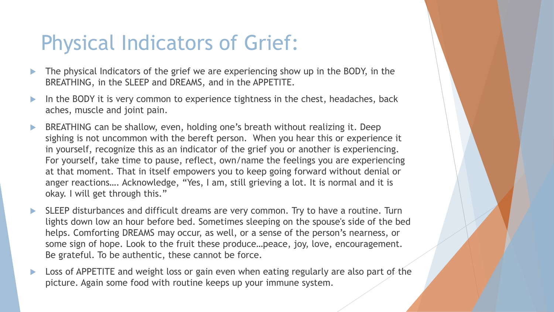# Physical Indicators of Grief:

- The physical Indicators of the grief we are experiencing show up in the BODY, in the BREATHING, in the SLEEP and DREAMS, and in the APPETITE.
- In the BODY it is very common to experience tightness in the chest, headaches, back aches, muscle and joint pain.
- BREATHING can be shallow, even, holding one's breath without realizing it. Deep sighing is not uncommon with the bereft person. When you hear this or experience it in yourself, recognize this as an indicator of the grief you or another is experiencing. For yourself, take time to pause, reflect, own/name the feelings you are experiencing at that moment. That in itself empowers you to keep going forward without denial or anger reactions…. Acknowledge, "Yes, I am, still grieving a lot. It is normal and it is okay. I will get through this."
- SLEEP disturbances and difficult dreams are very common. Try to have a routine. Turn lights down low an hour before bed. Sometimes sleeping on the spouse's side of the bed helps. Comforting DREAMS may occur, as well, or a sense of the person's nearness, or some sign of hope. Look to the fruit these produce…peace, joy, love, encouragement. Be grateful. To be authentic, these cannot be force.
- Loss of APPETITE and weight loss or gain even when eating regularly are also part of the picture. Again some food with routine keeps up your immune system.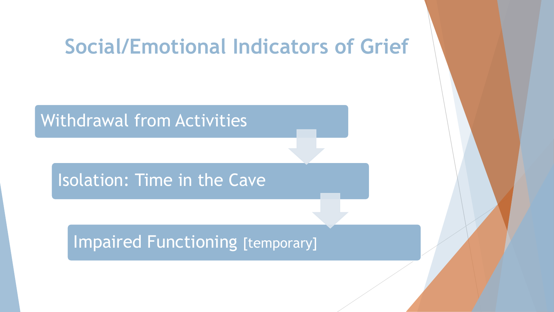### **Social/Emotional Indicators of Grief**

Withdrawal from Activities

#### Isolation: Time in the Cave

#### Impaired Functioning [temporary]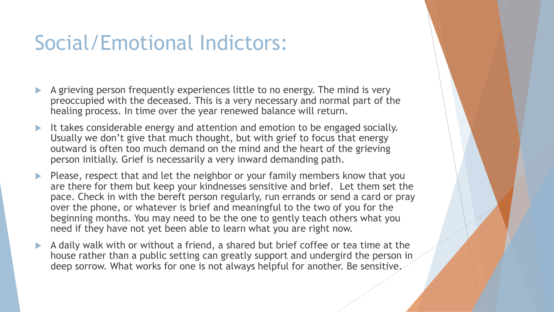# Social/Emotional Indictors:

- A grieving person frequently experiences little to no energy. The mind is very preoccupied with the deceased. This is a very necessary and normal part of the healing process. In time over the year renewed balance will return.
- It takes considerable energy and attention and emotion to be engaged socially. Usually we don't give that much thought, but with grief to focus that energy outward is often too much demand on the mind and the heart of the grieving person initially. Grief is necessarily a very inward demanding path.
- Please, respect that and let the neighbor or your family members know that you are there for them but keep your kindnesses sensitive and brief. Let them set the pace. Check in with the bereft person regularly, run errands or send a card or pray over the phone, or whatever is brief and meaningful to the two of you for the beginning months. You may need to be the one to gently teach others what you need if they have not yet been able to learn what you are right now.
- A daily walk with or without a friend, a shared but brief coffee or tea time at the house rather than a public setting can greatly support and undergird the person in deep sorrow. What works for one is not always helpful for another. Be sensitive.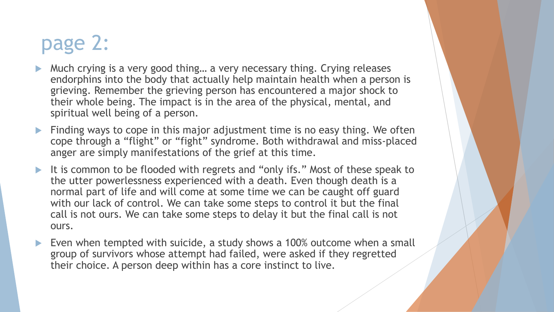# page 2:

- Much crying is a very good thing… a very necessary thing. Crying releases endorphins into the body that actually help maintain health when a person is grieving. Remember the grieving person has encountered a major shock to their whole being. The impact is in the area of the physical, mental, and spiritual well being of a person.
- Finding ways to cope in this major adjustment time is no easy thing. We often cope through a "flight" or "fight" syndrome. Both withdrawal and miss-placed anger are simply manifestations of the grief at this time.
- It is common to be flooded with regrets and "only ifs." Most of these speak to the utter powerlessness experienced with a death. Even though death is a normal part of life and will come at some time we can be caught off guard with our lack of control. We can take some steps to control it but the final call is not ours. We can take some steps to delay it but the final call is not ours.
- Even when tempted with suicide, a study shows a 100% outcome when a small group of survivors whose attempt had failed, were asked if they regretted their choice. A person deep within has a core instinct to live.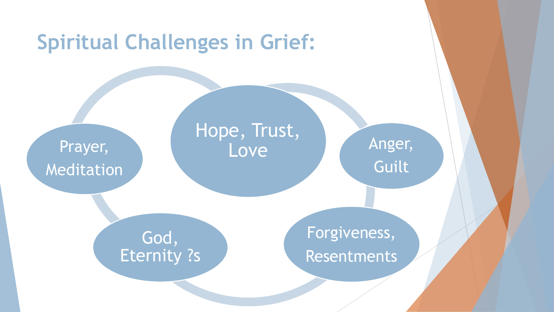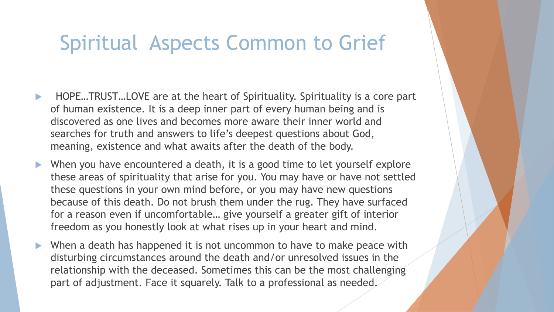### Spiritual Aspects Common to Grief

- ▶ HOPE...TRUST...LOVE are at the heart of Spirituality. Spirituality is a core part of human existence. It is a deep inner part of every human being and is discovered as one lives and becomes more aware their inner world and searches for truth and answers to life's deepest questions about God, meaning, existence and what awaits after the death of the body.
- When you have encountered a death, it is a good time to let yourself explore these areas of spirituality that arise for you. You may have or have not settled these questions in your own mind before, or you may have new questions because of this death. Do not brush them under the rug. They have surfaced for a reason even if uncomfortable… give yourself a greater gift of interior freedom as you honestly look at what rises up in your heart and mind.
- When a death has happened it is not uncommon to have to make peace with disturbing circumstances around the death and/or unresolved issues in the relationship with the deceased. Sometimes this can be the most challenging part of adjustment. Face it squarely. Talk to a professional as needed.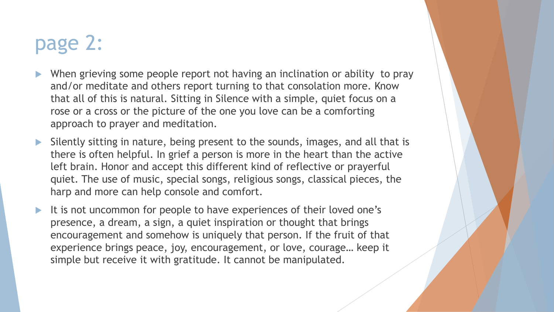# page 2:

- When grieving some people report not having an inclination or ability to pray and/or meditate and others report turning to that consolation more. Know that all of this is natural. Sitting in Silence with a simple, quiet focus on a rose or a cross or the picture of the one you love can be a comforting approach to prayer and meditation.
- Silently sitting in nature, being present to the sounds, images, and all that is there is often helpful. In grief a person is more in the heart than the active left brain. Honor and accept this different kind of reflective or prayerful quiet. The use of music, special songs, religious songs, classical pieces, the harp and more can help console and comfort.
- It is not uncommon for people to have experiences of their loved one's presence, a dream, a sign, a quiet inspiration or thought that brings encouragement and somehow is uniquely that person. If the fruit of that experience brings peace, joy, encouragement, or love, courage… keep it simple but receive it with gratitude. It cannot be manipulated.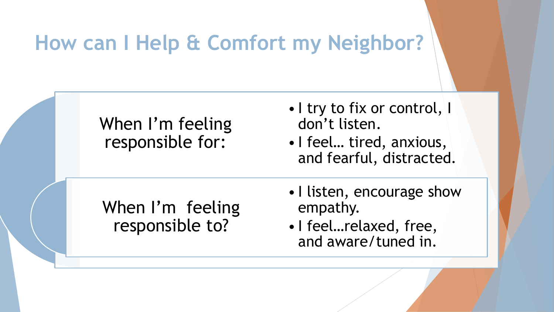# **How can I Help & Comfort my Neighbor?**

When I'm feeling responsible for:

- I try to fix or control, I don't listen.
- I feel… tired, anxious, and fearful, distracted.

When I'm feeling responsible to?

- I listen, encourage show empathy.
- I feel…relaxed, free, and aware/tuned in.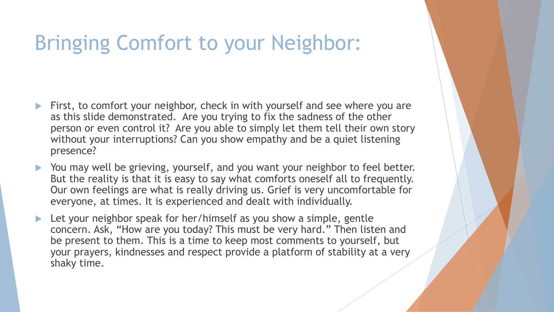### Bringing Comfort to your Neighbor:

- First, to comfort your neighbor, check in with yourself and see where you are as this slide demonstrated. Are you trying to fix the sadness of the other person or even control it? Are you able to simply let them tell their own story without your interruptions? Can you show empathy and be a quiet listening presence?
- You may well be grieving, yourself, and you want your neighbor to feel better. But the reality is that it is easy to say what comforts oneself all to frequently. Our own feelings are what is really driving us. Grief is very uncomfortable for everyone, at times. It is experienced and dealt with individually.
- Let your neighbor speak for her/himself as you show a simple, gentle concern. Ask, "How are you today? This must be very hard." Then listen and be present to them. This is a time to keep most comments to yourself, but your prayers, kindnesses and respect provide a platform of stability at a very shaky time.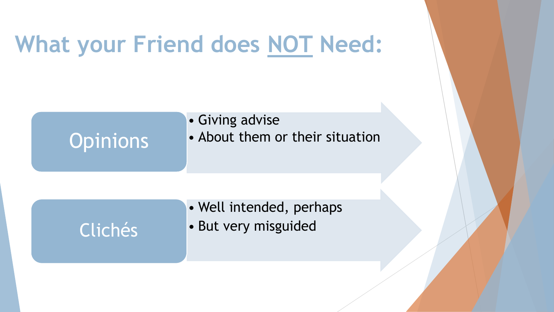# **What your Friend does NOT Need:**

| Opinions | • Giving advise<br>• About them or their situation |  |
|----------|----------------------------------------------------|--|
|          |                                                    |  |
| Clichés  | • Well intended, perhaps<br>· But very misguided   |  |

N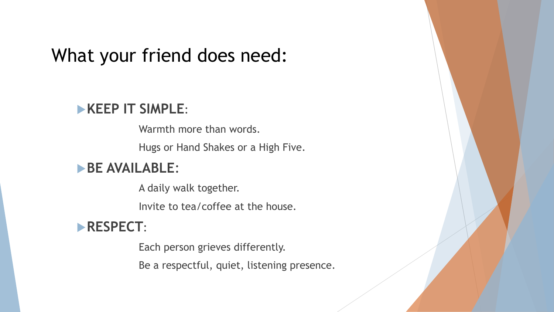### What your friend does need:

#### **KEEP IT SIMPLE:**

Warmth more than words.

Hugs or Hand Shakes or a High Five.

#### **BE AVAILABLE**:

A daily walk together.

Invite to tea/coffee at the house.

#### **RESPECT**:

Each person grieves differently.

Be a respectful, quiet, listening presence.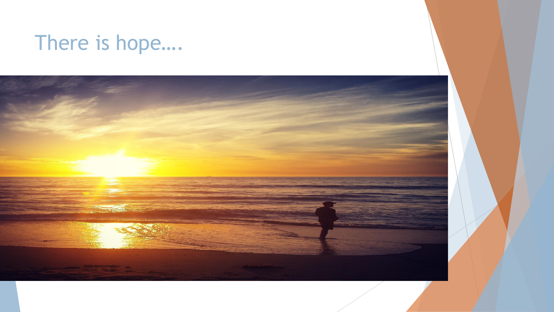# There is hope….